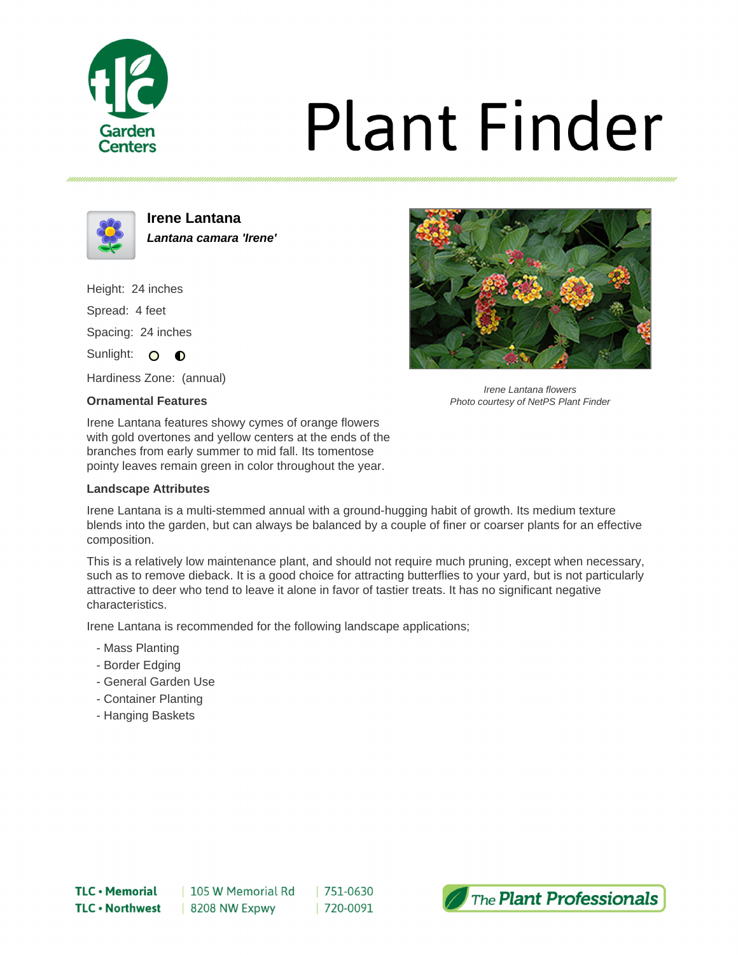

# **Plant Finder**



**Irene Lantana Lantana camara 'Irene'**

Height: 24 inches Spread: 4 feet Spacing: 24 inches

Sunlight: O **O** 

Hardiness Zone: (annual)

### **Ornamental Features**

Irene Lantana features showy cymes of orange flowers with gold overtones and yellow centers at the ends of the branches from early summer to mid fall. Its tomentose pointy leaves remain green in color throughout the year.

### **Landscape Attributes**

Irene Lantana is a multi-stemmed annual with a ground-hugging habit of growth. Its medium texture blends into the garden, but can always be balanced by a couple of finer or coarser plants for an effective composition.

This is a relatively low maintenance plant, and should not require much pruning, except when necessary, such as to remove dieback. It is a good choice for attracting butterflies to your yard, but is not particularly attractive to deer who tend to leave it alone in favor of tastier treats. It has no significant negative characteristics.

Irene Lantana is recommended for the following landscape applications;

- Mass Planting
- Border Edging
- General Garden Use
- Container Planting
- Hanging Baskets



Irene Lantana flowers Photo courtesy of NetPS Plant Finder